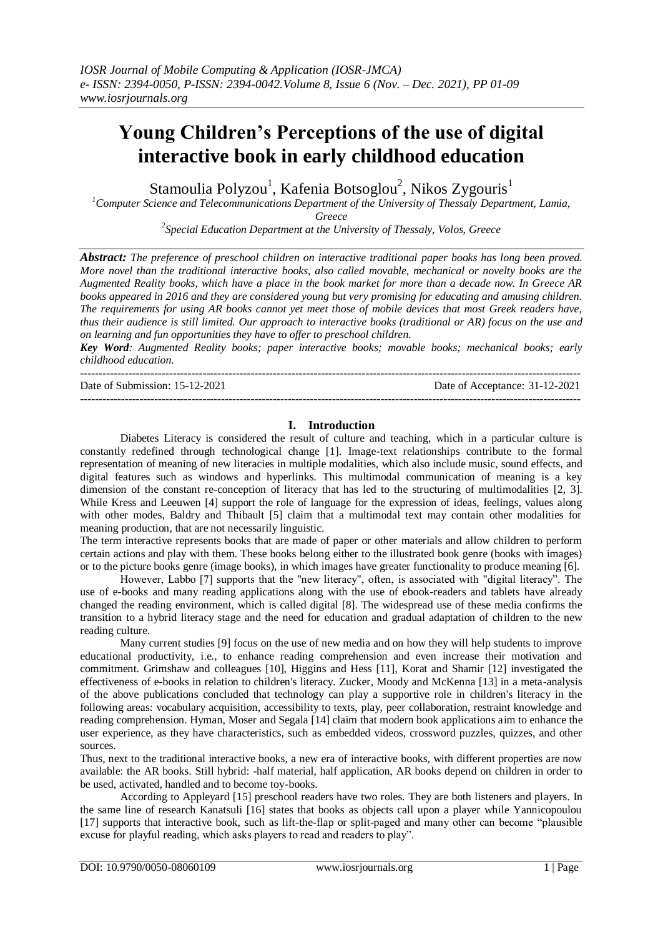# **Young Children's Perceptions of the use of digital interactive book in early childhood education**

Stamoulia Polyzou $^{\rm l}$ , Kafenia Botsoglou $^{\rm 2}$ , Nikos Zygouris $^{\rm l}$ 

*<sup>1</sup>Computer Science and Telecommunications Department of the University of Thessaly Department, Lamia,* 

*Greece*

*2 Special Education Department at the University of Thessaly, Volos, Greece*

*Abstract: The preference of preschool children on interactive traditional paper books has long been proved. More novel than the traditional interactive books, also called movable, mechanical or novelty books are the Augmented Reality books, which have a place in the book market for more than a decade now. In Greece AR books appeared in 2016 and they are considered young but very promising for educating and amusing children. The requirements for using AR books cannot yet meet those of mobile devices that most Greek readers have, thus their audience is still limited. Our approach to interactive books (traditional or AR) focus on the use and on learning and fun opportunities they have to offer to preschool children.*

*Key Word: Augmented Reality books; paper interactive books; movable books; mechanical books; early childhood education.* 

--------------------------------------------------------------------------------------------------------------------------------------- Date of Submission: 15-12-2021 Date of Acceptance: 31-12-2021 ---------------------------------------------------------------------------------------------------------------------------------------

## **I. Introduction**

Diabetes Literacy is considered the result of culture and teaching, which in a particular culture is constantly redefined through technological change [1]. Image-text relationships contribute to the formal representation of meaning of new literacies in multiple modalities, which also include music, sound effects, and digital features such as windows and hyperlinks. This multimodal communication of meaning is a key dimension of the constant re-conception of literacy that has led to the structuring of multimodalities [2, 3]. While Kress and Leeuwen [4] support the role of language for the expression of ideas, feelings, values along with other modes, Baldry and Thibault [5] claim that a multimodal text may contain other modalities for meaning production, that are not necessarily linguistic.

The term interactive represents books that are made of paper or other materials and allow children to perform certain actions and play with them. These books belong either to the illustrated book genre (books with images) or to the picture books genre (image books), in which images have greater functionality to produce meaning [6].

However, Labbo [7] supports that the "new literacy", often, is associated with "digital literacy". The use of e-books and many reading applications along with the use of ebook-readers and tablets have already changed the reading environment, which is called digital [8]. The widespread use of these media confirms the transition to a hybrid literacy stage and the need for education and gradual adaptation of children to the new reading culture.

Many current studies [9] focus on the use of new media and on how they will help students to improve educational productivity, i.e., to enhance reading comprehension and even increase their motivation and commitment. Grimshaw and colleagues [10], Higgins and Hess [11], Korat and Shamir [12] investigated the effectiveness of e-books in relation to children's literacy. Zucker, Moody and McKenna [13] in a meta-analysis of the above publications concluded that technology can play a supportive role in children's literacy in the following areas: vocabulary acquisition, accessibility to texts, play, peer collaboration, restraint knowledge and reading comprehension. Hyman, Moser and Segala [14] claim that modern book applications aim to enhance the user experience, as they have characteristics, such as embedded videos, crossword puzzles, quizzes, and other sources.

Thus, next to the traditional interactive books, a new era of interactive books, with different properties are now available: the AR books. Still hybrid: -half material, half application, AR books depend on children in order to be used, activated, handled and to become toy-books.

According to Appleyard [15] preschool readers have two roles. They are both listeners and players. In the same line of research Kanatsuli [16] states that books as objects call upon a player while Yannicopoulou [17] supports that interactive book, such as lift-the-flap or split-paged and many other can become "plausible excuse for playful reading, which asks players to read and readers to play".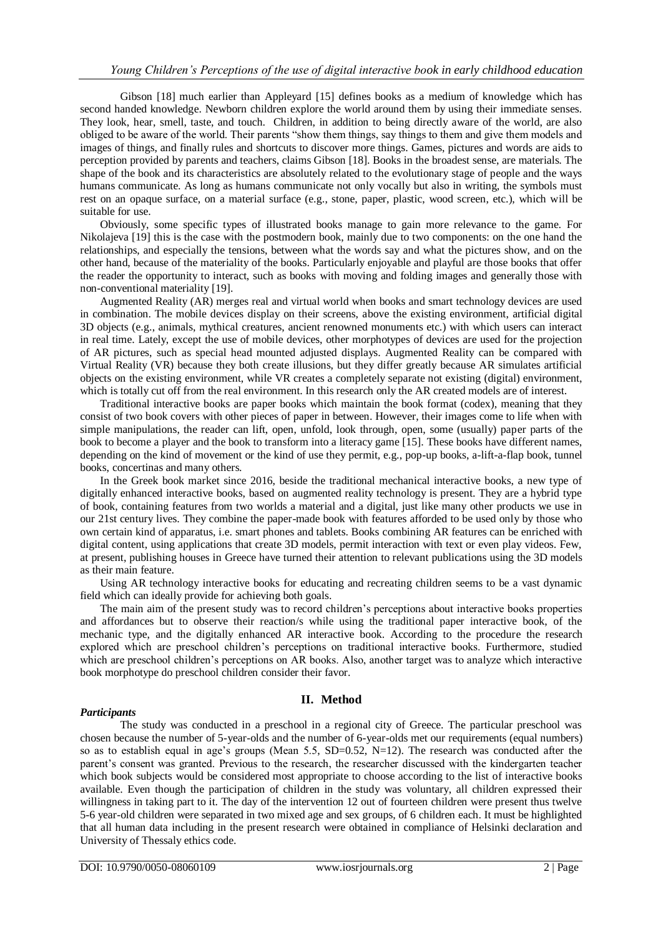Gibson [18] much earlier than Appleyard [15] defines books as a medium of knowledge which has second handed knowledge. Newborn children explore the world around them by using their immediate senses. They look, hear, smell, taste, and touch. Children, in addition to being directly aware of the world, are also obliged to be aware of the world. Their parents "show them things, say things to them and give them models and images of things, and finally rules and shortcuts to discover more things. Games, pictures and words are aids to perception provided by parents and teachers, claims Gibson [18]. Books in the broadest sense, are materials. The shape of the book and its characteristics are absolutely related to the evolutionary stage of people and the ways humans communicate. As long as humans communicate not only vocally but also in writing, the symbols must rest on an opaque surface, on a material surface (e.g., stone, paper, plastic, wood screen, etc.), which will be suitable for use.

Obviously, some specific types of illustrated books manage to gain more relevance to the game. For Nikolajeva [19] this is the case with the postmodern book, mainly due to two components: on the one hand the relationships, and especially the tensions, between what the words say and what the pictures show, and on the other hand, because of the materiality of the books. Particularly enjoyable and playful are those books that offer the reader the opportunity to interact, such as books with moving and folding images and generally those with non-conventional materiality [19].

Augmented Reality (AR) merges real and virtual world when books and smart technology devices are used in combination. The mobile devices display on their screens, above the existing environment, artificial digital 3D objects (e.g., animals, mythical creatures, ancient renowned monuments etc.) with which users can interact in real time. Lately, except the use of mobile devices, other morphotypes of devices are used for the projection of AR pictures, such as special head mounted adjusted displays. Augmented Reality can be compared with Virtual Reality (VR) because they both create illusions, but they differ greatly because AR simulates artificial objects on the existing environment, while VR creates a completely separate not existing (digital) environment, which is totally cut off from the real environment. In this research only the AR created models are of interest.

Traditional interactive books are paper books which maintain the book format (codex), meaning that they consist of two book covers with other pieces of paper in between. However, their images come to life when with simple manipulations, the reader can lift, open, unfold, look through, open, some (usually) paper parts of the book to become a player and the book to transform into a literacy game [15]. These books have different names, depending on the kind of movement or the kind of use they permit, e.g., pop-up books, a-lift-a-flap book, tunnel books, concertinas and many others.

In the Greek book market since 2016, beside the traditional mechanical interactive books, a new type of digitally enhanced interactive books, based on augmented reality technology is present. They are a hybrid type of book, containing features from two worlds a material and a digital, just like many other products we use in our 21st century lives. They combine the paper-made book with features afforded to be used only by those who own certain kind of apparatus, i.e. smart phones and tablets. Books combining AR features can be enriched with digital content, using applications that create 3D models, permit interaction with text or even play videos. Few, at present, publishing houses in Greece have turned their attention to relevant publications using the 3D models as their main feature.

Using AR technology interactive books for educating and recreating children seems to be a vast dynamic field which can ideally provide for achieving both goals.

The main aim of the present study was to record children's perceptions about interactive books properties and affordances but to observe their reaction/s while using the traditional paper interactive book, of the mechanic type, and the digitally enhanced AR interactive book. According to the procedure the research explored which are preschool children's perceptions on traditional interactive books. Furthermore, studied which are preschool children's perceptions on AR books. Also, another target was to analyze which interactive book morphotype do preschool children consider their favor.

#### *Participants*

## **II. Method**

The study was conducted in a preschool in a regional city of Greece. The particular preschool was chosen because the number of 5-year-olds and the number of 6-year-olds met our requirements (equal numbers) so as to establish equal in age's groups (Mean 5.5, SD=0.52, N=12). The research was conducted after the parent's consent was granted. Previous to the research, the researcher discussed with the kindergarten teacher which book subjects would be considered most appropriate to choose according to the list of interactive books available. Even though the participation of children in the study was voluntary, all children expressed their willingness in taking part to it. The day of the intervention 12 out of fourteen children were present thus twelve 5-6 year-old children were separated in two mixed age and sex groups, of 6 children each. It must be highlighted that all human data including in the present research were obtained in compliance of Helsinki declaration and University of Thessaly ethics code.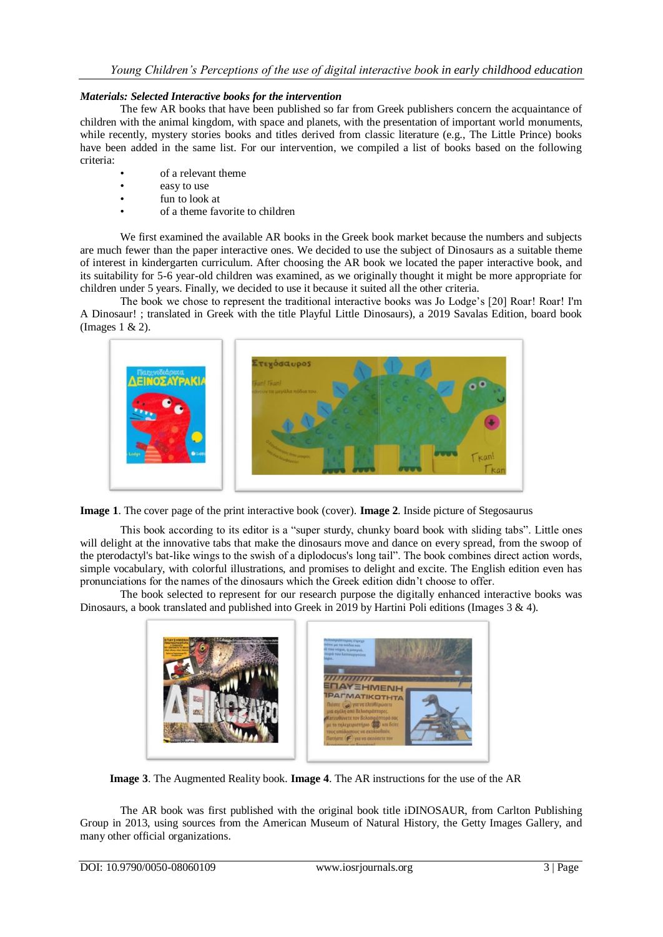## *Materials: Selected Interactive books for the intervention*

The few AR books that have been published so far from Greek publishers concern the acquaintance of children with the animal kingdom, with space and planets, with the presentation of important world monuments, while recently, mystery stories books and titles derived from classic literature (e.g., The Little Prince) books have been added in the same list. For our intervention, we compiled a list of books based on the following criteria:

- of a relevant theme
- easy to use
- fun to look at
- of a theme favorite to children

We first examined the available AR books in the Greek book market because the numbers and subjects are much fewer than the paper interactive ones. We decided to use the subject of Dinosaurs as a suitable theme of interest in kindergarten curriculum. After choosing the AR book we located the paper interactive book, and its suitability for 5-6 year-old children was examined, as we originally thought it might be more appropriate for children under 5 years. Finally, we decided to use it because it suited all the other criteria.

The book we chose to represent the traditional interactive books was Jo Lodge's [20] Roar! Roar! I'm A Dinosaur! ; translated in Greek with the title Playful Little Dinosaurs), a 2019 Savalas Edition, board book (Images 1 & 2).



**Image 1**. The cover page of the print interactive book (cover). **Image 2**. Inside picture of Stegosaurus

This book according to its editor is a "super sturdy, chunky board book with sliding tabs". Little ones will delight at the innovative tabs that make the dinosaurs move and dance on every spread, from the swoop of the pterodactyl's bat-like wings to the swish of a diplodocus's long tail". The book combines direct action words, simple vocabulary, with colorful illustrations, and promises to delight and excite. The English edition even has pronunciations for the names of the dinosaurs which the Greek edition didn't choose to offer.

The book selected to represent for our research purpose the digitally enhanced interactive books was Dinosaurs, a book translated and published into Greek in 2019 by Hartini Poli editions (Images 3 & 4).



**Image 3**. The Augmented Reality book. **Image 4**. The AR instructions for the use of the AR

The AR book was first published with the original book title iDINOSAUR, from Carlton Publishing Group in 2013, using sources from the American Museum of Natural History, the Getty Images Gallery, and many other official organizations.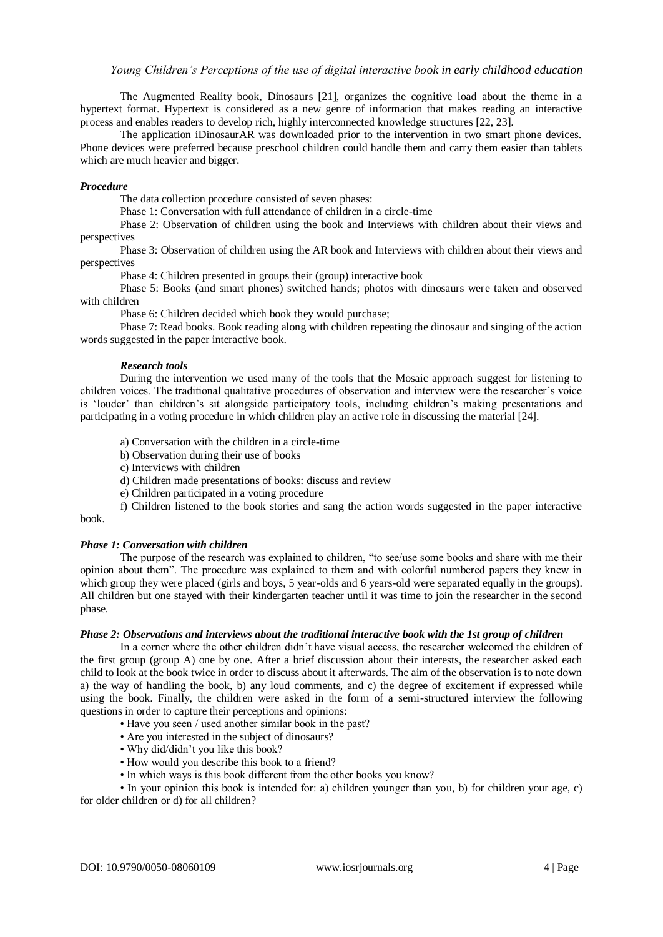The Augmented Reality book, Dinosaurs [21], organizes the cognitive load about the theme in a hypertext format. Hypertext is considered as a new genre of information that makes reading an interactive process and enables readers to develop rich, highly interconnected knowledge structures [22, 23].

The application iDinosaurAR was downloaded prior to the intervention in two smart phone devices. Phone devices were preferred because preschool children could handle them and carry them easier than tablets which are much heavier and bigger.

#### *Procedure*

The data collection procedure consisted of seven phases:

Phase 1: Conversation with full attendance of children in a circle-time

Phase 2: Observation of children using the book and Interviews with children about their views and perspectives

Phase 3: Observation of children using the AR book and Interviews with children about their views and perspectives

Phase 4: Children presented in groups their (group) interactive book

Phase 5: Books (and smart phones) switched hands; photos with dinosaurs were taken and observed with children

Phase 6: Children decided which book they would purchase;

Phase 7: Read books. Book reading along with children repeating the dinosaur and singing of the action words suggested in the paper interactive book.

## *Research tools*

During the intervention we used many of the tools that the Mosaic approach suggest for listening to children voices. The traditional qualitative procedures of observation and interview were the researcher's voice is 'louder' than children's sit alongside participatory tools, including children's making presentations and participating in a voting procedure in which children play an active role in discussing the material [24].

a) Conversation with the children in a circle-time

b) Observation during their use of books

c) Interviews with children

d) Children made presentations of books: discuss and review

e) Children participated in a voting procedure

f) Children listened to the book stories and sang the action words suggested in the paper interactive book.

## *Phase 1: Conversation with children*

The purpose of the research was explained to children, "to see/use some books and share with me their opinion about them". The procedure was explained to them and with colorful numbered papers they knew in which group they were placed (girls and boys, 5 year-olds and 6 years-old were separated equally in the groups). All children but one stayed with their kindergarten teacher until it was time to join the researcher in the second phase.

#### *Phase 2: Observations and interviews about the traditional interactive book with the 1st group of children*

In a corner where the other children didn't have visual access, the researcher welcomed the children of the first group (group A) one by one. After a brief discussion about their interests, the researcher asked each child to look at the book twice in order to discuss about it afterwards. The aim of the observation is to note down a) the way of handling the book, b) any loud comments, and c) the degree of excitement if expressed while using the book. Finally, the children were asked in the form of a semi-structured interview the following questions in order to capture their perceptions and opinions:

- Have you seen / used another similar book in the past?
- Are you interested in the subject of dinosaurs?
- Why did/didn't you like this book?
- How would you describe this book to a friend?
- In which ways is this book different from the other books you know?

• In your opinion this book is intended for: a) children younger than you, b) for children your age, c) for older children or d) for all children?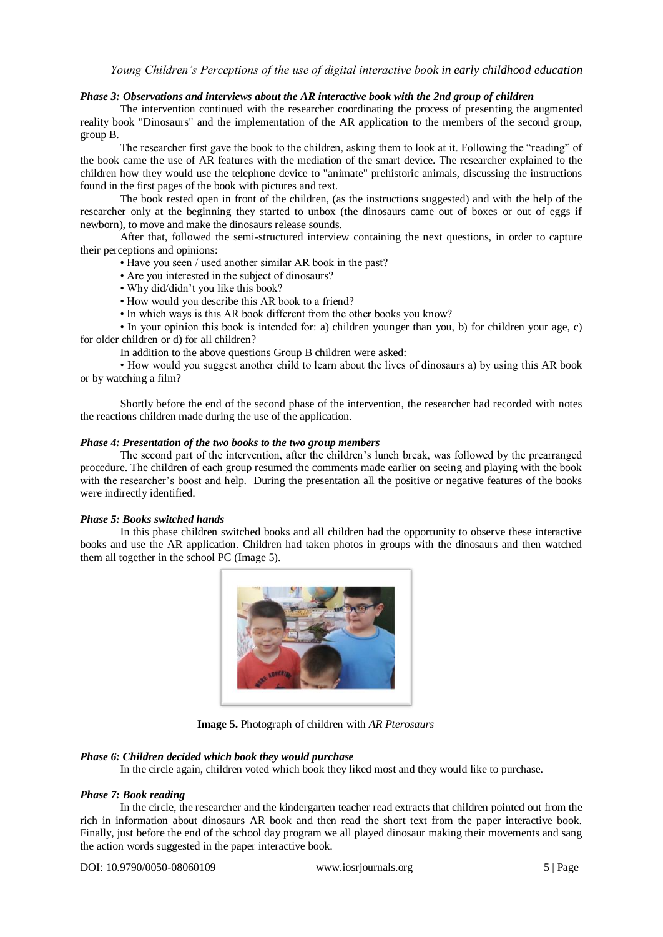#### *Phase 3: Observations and interviews about the AR interactive book with the 2nd group of children*

The intervention continued with the researcher coordinating the process of presenting the augmented reality book "Dinosaurs" and the implementation of the AR application to the members of the second group, group B.

The researcher first gave the book to the children, asking them to look at it. Following the "reading" of the book came the use of AR features with the mediation of the smart device. The researcher explained to the children how they would use the telephone device to "animate" prehistoric animals, discussing the instructions found in the first pages of the book with pictures and text.

The book rested open in front of the children, (as the instructions suggested) and with the help of the researcher only at the beginning they started to unbox (the dinosaurs came out of boxes or out of eggs if newborn), to move and make the dinosaurs release sounds.

After that, followed the semi-structured interview containing the next questions, in order to capture their perceptions and opinions:

- Have you seen / used another similar AR book in the past?
- Are you interested in the subject of dinosaurs?
- Why did/didn't you like this book?
- How would you describe this AR book to a friend?
- In which ways is this AR book different from the other books you know?

• In your opinion this book is intended for: a) children younger than you, b) for children your age, c) for older children or d) for all children?

In addition to the above questions Group B children were asked:

• How would you suggest another child to learn about the lives of dinosaurs a) by using this AR book or by watching a film?

Shortly before the end of the second phase of the intervention, the researcher had recorded with notes the reactions children made during the use of the application.

#### *Phase 4: Presentation of the two books to the two group members*

The second part of the intervention, after the children's lunch break, was followed by the prearranged procedure. The children of each group resumed the comments made earlier on seeing and playing with the book with the researcher's boost and help. During the presentation all the positive or negative features of the books were indirectly identified.

#### *Phase 5: Books switched hands*

In this phase children switched books and all children had the opportunity to observe these interactive books and use the AR application. Children had taken photos in groups with the dinosaurs and then watched them all together in the school PC (Image 5).



**Image 5.** Photograph of children with *AR Pterosaurs*

#### *Phase 6: Children decided which book they would purchase*

In the circle again, children voted which book they liked most and they would like to purchase.

#### *Phase 7: Book reading*

In the circle, the researcher and the kindergarten teacher read extracts that children pointed out from the rich in information about dinosaurs AR book and then read the short text from the paper interactive book. Finally, just before the end of the school day program we all played dinosaur making their movements and sang the action words suggested in the paper interactive book.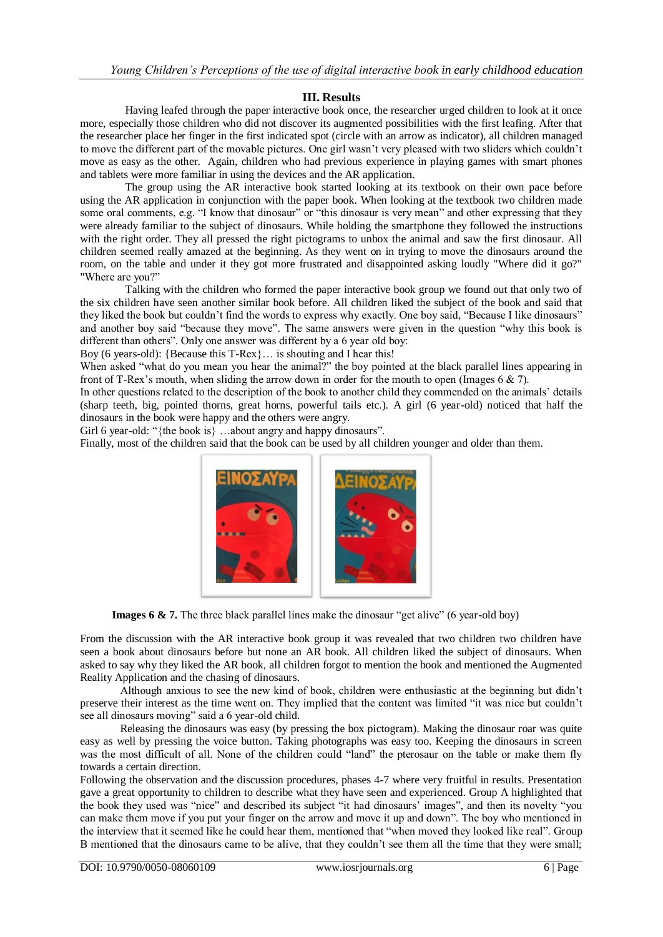# **III. Results**

Having leafed through the paper interactive book once, the researcher urged children to look at it once more, especially those children who did not discover its augmented possibilities with the first leafing. After that the researcher place her finger in the first indicated spot (circle with an arrow as indicator), all children managed to move the different part of the movable pictures. One girl wasn't very pleased with two sliders which couldn't move as easy as the other. Again, children who had previous experience in playing games with smart phones and tablets were more familiar in using the devices and the AR application.

The group using the AR interactive book started looking at its textbook on their own pace before using the AR application in conjunction with the paper book. When looking at the textbook two children made some oral comments, e.g. "I know that dinosaur" or "this dinosaur is very mean" and other expressing that they were already familiar to the subject of dinosaurs. While holding the smartphone they followed the instructions with the right order. They all pressed the right pictograms to unbox the animal and saw the first dinosaur. All children seemed really amazed at the beginning. As they went on in trying to move the dinosaurs around the room, on the table and under it they got more frustrated and disappointed asking loudly "Where did it go?" "Where are you?"

Talking with the children who formed the paper interactive book group we found out that only two of the six children have seen another similar book before. All children liked the subject of the book and said that they liked the book but couldn't find the words to express why exactly. One boy said, "Because I like dinosaurs" and another boy said "because they move". The same answers were given in the question "why this book is different than others". Only one answer was different by a 6 year old boy:

Boy (6 years-old): {Because this T-Rex}… is shouting and I hear this!

When asked "what do you mean you hear the animal?" the boy pointed at the black parallel lines appearing in front of T-Rex's mouth, when sliding the arrow down in order for the mouth to open (Images  $6 \& 7$ ).

In other questions related to the description of the book to another child they commended on the animals' details (sharp teeth, big, pointed thorns, great horns, powerful tails etc.). A girl (6 year-old) noticed that half the dinosaurs in the book were happy and the others were angry.

Girl 6 year-old: "{the book is} ...about angry and happy dinosaurs".

Finally, most of the children said that the book can be used by all children younger and older than them.



**Images 6 & 7.** The three black parallel lines make the dinosaur "get alive" (6 year-old boy)

From the discussion with the AR interactive book group it was revealed that two children two children have seen a book about dinosaurs before but none an AR book. All children liked the subject of dinosaurs. When asked to say why they liked the AR book, all children forgot to mention the book and mentioned the Augmented Reality Application and the chasing of dinosaurs.

Although anxious to see the new kind of book, children were enthusiastic at the beginning but didn't preserve their interest as the time went on. They implied that the content was limited "it was nice but couldn't see all dinosaurs moving" said a 6 year-old child.

Releasing the dinosaurs was easy (by pressing the box pictogram). Making the dinosaur roar was quite easy as well by pressing the voice button. Taking photographs was easy too. Keeping the dinosaurs in screen was the most difficult of all. None of the children could "land" the pterosaur on the table or make them fly towards a certain direction.

Following the observation and the discussion procedures, phases 4-7 where very fruitful in results. Presentation gave a great opportunity to children to describe what they have seen and experienced. Group A highlighted that the book they used was "nice" and described its subject "it had dinosaurs' images", and then its novelty "you can make them move if you put your finger on the arrow and move it up and down". The boy who mentioned in the interview that it seemed like he could hear them, mentioned that "when moved they looked like real". Group B mentioned that the dinosaurs came to be alive, that they couldn't see them all the time that they were small;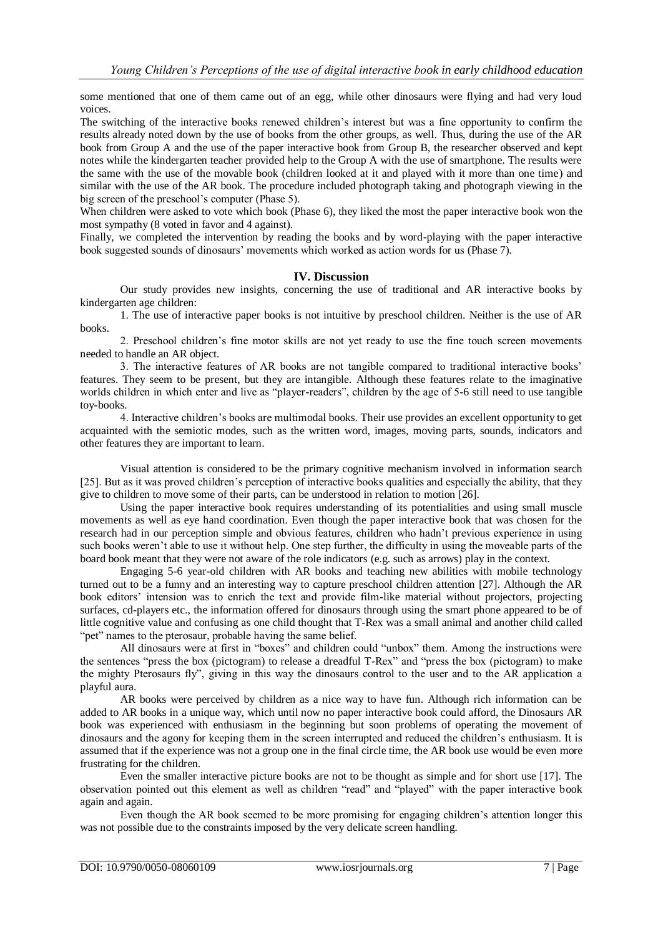some mentioned that one of them came out of an egg, while other dinosaurs were flying and had very loud voices.

The switching of the interactive books renewed children's interest but was a fine opportunity to confirm the results already noted down by the use of books from the other groups, as well. Thus, during the use of the AR book from Group A and the use of the paper interactive book from Group B, the researcher observed and kept notes while the kindergarten teacher provided help to the Group A with the use of smartphone. The results were the same with the use of the movable book (children looked at it and played with it more than one time) and similar with the use of the AR book. The procedure included photograph taking and photograph viewing in the big screen of the preschool's computer (Phase 5).

When children were asked to vote which book (Phase 6), they liked the most the paper interactive book won the most sympathy (8 voted in favor and 4 against).

Finally, we completed the intervention by reading the books and by word-playing with the paper interactive book suggested sounds of dinosaurs' movements which worked as action words for us (Phase 7).

#### **IV. Discussion**

Our study provides new insights, concerning the use of traditional and AR interactive books by kindergarten age children:

1. The use of interactive paper books is not intuitive by preschool children. Neither is the use of AR books.

2. Preschool children's fine motor skills are not yet ready to use the fine touch screen movements needed to handle an AR object.

3. The interactive features of AR books are not tangible compared to traditional interactive books' features. They seem to be present, but they are intangible. Although these features relate to the imaginative worlds children in which enter and live as "player-readers", children by the age of 5-6 still need to use tangible toy-books.

4. Interactive children's books are multimodal books. Their use provides an excellent opportunity to get acquainted with the semiotic modes, such as the written word, images, moving parts, sounds, indicators and other features they are important to learn.

Visual attention is considered to be the primary cognitive mechanism involved in information search [25]. But as it was proved children's perception of interactive books qualities and especially the ability, that they give to children to move some of their parts, can be understood in relation to motion [26].

Using the paper interactive book requires understanding of its potentialities and using small muscle movements as well as eye hand coordination. Even though the paper interactive book that was chosen for the research had in our perception simple and obvious features, children who hadn't previous experience in using such books weren't able to use it without help. One step further, the difficulty in using the moveable parts of the board book meant that they were not aware of the role indicators (e.g. such as arrows) play in the context.

Engaging 5-6 year-old children with AR books and teaching new abilities with mobile technology turned out to be a funny and an interesting way to capture preschool children attention [27]. Although the AR book editors' intension was to enrich the text and provide film-like material without projectors, projecting surfaces, cd-players etc., the information offered for dinosaurs through using the smart phone appeared to be of little cognitive value and confusing as one child thought that T-Rex was a small animal and another child called "pet" names to the pterosaur, probable having the same belief.

All dinosaurs were at first in "boxes" and children could "unbox" them. Among the instructions were the sentences "press the box (pictogram) to release a dreadful T-Rex" and "press the box (pictogram) to make the mighty Pterosaurs fly", giving in this way the dinosaurs control to the user and to the AR application a playful aura.

AR books were perceived by children as a nice way to have fun. Although rich information can be added to AR books in a unique way, which until now no paper interactive book could afford, the Dinosaurs AR book was experienced with enthusiasm in the beginning but soon problems of operating the movement of dinosaurs and the agony for keeping them in the screen interrupted and reduced the children's enthusiasm. It is assumed that if the experience was not a group one in the final circle time, the AR book use would be even more frustrating for the children.

Even the smaller interactive picture books are not to be thought as simple and for short use [17]. The observation pointed out this element as well as children "read" and "played" with the paper interactive book again and again.

Even though the AR book seemed to be more promising for engaging children's attention longer this was not possible due to the constraints imposed by the very delicate screen handling.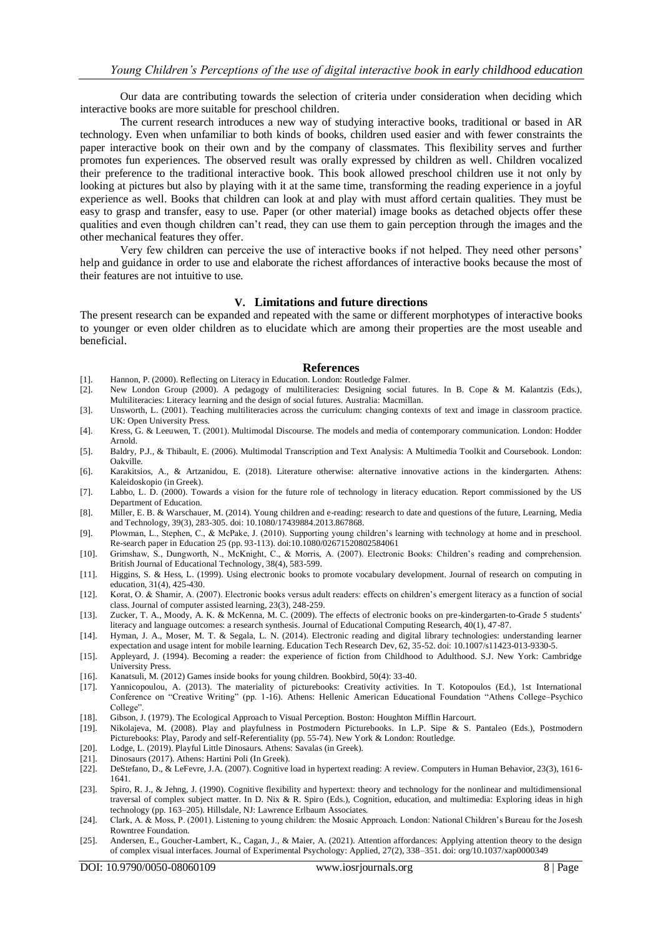Our data are contributing towards the selection of criteria under consideration when deciding which interactive books are more suitable for preschool children.

The current research introduces a new way of studying interactive books, traditional or based in AR technology. Even when unfamiliar to both kinds of books, children used easier and with fewer constraints the paper interactive book on their own and by the company of classmates. This flexibility serves and further promotes fun experiences. The observed result was orally expressed by children as well. Children vocalized their preference to the traditional interactive book. This book allowed preschool children use it not only by looking at pictures but also by playing with it at the same time, transforming the reading experience in a joyful experience as well. Books that children can look at and play with must afford certain qualities. They must be easy to grasp and transfer, easy to use. Paper (or other material) image books as detached objects offer these qualities and even though children can't read, they can use them to gain perception through the images and the other mechanical features they offer.

Very few children can perceive the use of interactive books if not helped. They need other persons' help and guidance in order to use and elaborate the richest affordances of interactive books because the most of their features are not intuitive to use.

#### **V. Limitations and future directions**

The present research can be expanded and repeated with the same or different morphotypes of interactive books to younger or even older children as to elucidate which are among their properties are the most useable and beneficial.

#### **References**

- [1]. Hannon, P. (2000). Reflecting on Literacy in Education. London: Routledge Falmer.
- [2]. New London Group (2000). A pedagogy of multiliteracies: Designing social futures. In B. Cope & M. Kalantzis (Eds.), Multiliteracies: Literacy learning and the design of social futures. Australia: Macmillan.
- [3]. Unsworth, L. (2001). Teaching multiliteracies across the curriculum: changing contexts of text and image in classroom practice. UK: Open University Press.
- [4]. Kress, G. & Leeuwen, T. (2001). Multimodal Discourse. The models and media of contemporary communication. London: Hodder Arnold.
- [5]. Baldry, P.J., & Thibault, E. (2006). Multimodal Transcription and Text Analysis: A Multimedia Toolkit and Coursebook. London: Oakville.
- [6]. Karakitsios, A., & Artzanidou, E. (2018). Literature otherwise: alternative innovative actions in the kindergarten. Athens: Kaleidoskopio (in Greek).
- [7]. Labbo, L. D. (2000). Towards a vision for the future role of technology in literacy education. Report commissioned by the US Department of Education.
- [8]. Miller, E. B. & Warschauer, M. (2014). Young children and e-reading: research to date and questions of the future, Learning, Media and Technology, 39(3), 283-305. doi: 10.1080/17439884.2013.867868.
- [9]. Plowman, L., Stephen, C., & McPake, J. (2010). Supporting young children's learning with technology at home and in preschool. Re-search paper in Education 25 (pp. 93-113). doi:10.1080/02671520802584061
- [10]. Grimshaw, S., Dungworth, N., McKnight, C., & Morris, A. (2007). Electronic Books: Children's reading and comprehension. British Journal of Educational Technology, 38(4), 583-599.
- [11]. Higgins, S. & Hess, L. (1999). Using electronic books to promote vocabulary development. Journal of research on computing in education, 31(4), 425-430.
- [12]. Korat, O. & Shamir, A. (2007). Electronic books versus adult readers: effects on children's emergent literacy as a function of social class. Journal of computer assisted learning, 23(3), 248-259.
- [13]. Zucker, T. A., Moody, A. K. & McKenna, M. C. (2009). The effects of electronic books on pre-kindergarten-to-Grade 5 students' literacy and language outcomes: a research synthesis. Journal of Educational Computing Research, 40(1), 47-87.
- [14]. Hyman, J. A., Moser, M. T. & Segala, L. N. (2014). Electronic reading and digital library technologies: understanding learner expectation and usage intent for mobile learning. Education Tech Research Dev, 62, 35-52. doi: 10.1007/s11423-013-9330-5.
- [15]. Appleyard, J. (1994). Becoming a reader: the experience of fiction from Childhood to Adulthood. S.J. New York: Cambridge University Press.
- [16]. Kanatsuli, M. (2012) Games inside books for young children. Bookbird, 50(4): 33-40.
- [17]. Yannicopoulou, A. (2013). The materiality of picturebooks: Creativity activities. In T. Kotopoulos (Ed.), 1st International Conference on "Creative Writing" (pp. 1-16). Athens: Hellenic American Educational Foundation "Athens College–Psychico College".
- [18]. Gibson, J. (1979). The Ecological Approach to Visual Perception. Boston: Houghton Mifflin Harcourt.
- [19]. Nikolajeva, M. (2008). Play and playfulness in Postmodern Picturebooks. In L.P. Sipe & S. Pantaleo (Eds.), Postmodern Picturebooks: Play, Parody and self-Referentiality (pp. 55-74). New York & London: Routledge.
- [20]. Lodge, L. (2019). Playful Little Dinosaurs. Athens: Savalas (in Greek).
- [21]. Dinosaurs (2017). Athens: Hartini Poli (In Greek).
- [22]. DeStefano, D., & LeFevre, J.A. (2007). Cognitive load in hypertext reading: A review. Computers in Human Behavior, 23(3), 1616- 1641.
- [23]. Spiro, R. J., & Jehng, J. (1990). Cognitive flexibility and hypertext: theory and technology for the nonlinear and multidimensional traversal of complex subject matter. In D. Nix & R. Spiro (Eds.), Cognition, education, and multimedia: Exploring ideas in high technology (pp. 163-205). Hillsdale, NJ: Lawrence Erlbaum Associates.
- [24]. Clark, A. & Moss, P. (2001). Listening to young children: the Mosaic Approach. London: National Children's Bureau for the Josesh Rowntree Foundation.
- [25]. Andersen, E., Goucher-Lambert, K., Cagan, J., & Maier, A. (2021). Attention affordances: Applying attention theory to the design of complex visual interfaces. Journal of Experimental Psychology: Applied, 27(2), 338–351. doi: org/10.1037/xap0000349